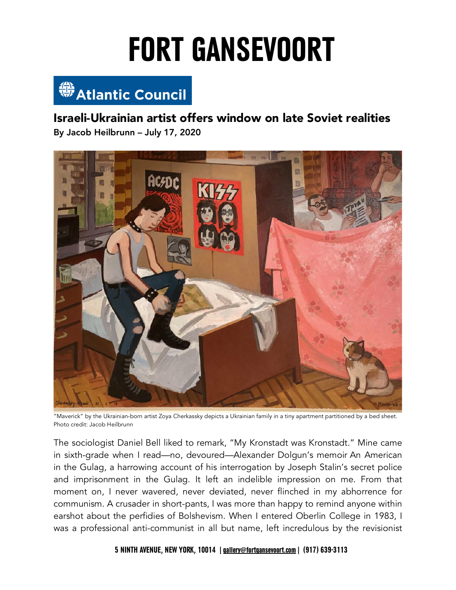

 Israeli-Ukrainian artist offers window on late Soviet realities By Jacob Heilbrunn – July 17, 2020



 "Maverick" by the Ukrainian-born artist Zoya Cherkassky depicts a Ukrainian family in a tiny apartment partitioned by a bed sheet. Photo credit: Jacob Heilbrunn

 The sociologist Daniel Bell liked to remark, "My Kronstadt was Kronstadt." Mine came in sixth-grade when I read—no, devoured—Alexander Dolgun's memoir An American in the Gulag, a harrowing account of his interrogation by Joseph Stalin's secret police and imprisonment in the Gulag. It left an indelible impression on me. From that moment on, I never wavered, never deviated, never flinched in my abhorrence for communism. A crusader in short-pants, I was more than happy to remind anyone within earshot about the perfidies of Bolshevism. When I entered Oberlin College in 1983, I was a professional anti-communist in all but name, left incredulous by the revisionist

 **5 NINTH AVENUE, NEW YORK, 10014 |[gallery@fortgansevoort.com](mailto:gallery@fortgansevoort.com)| (917) 639-3113**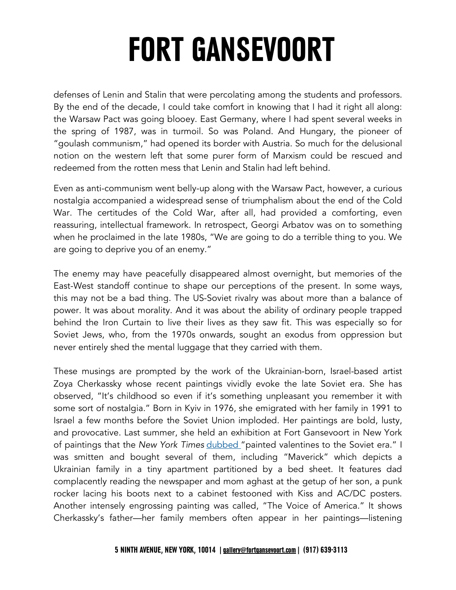defenses of Lenin and Stalin that were percolating among the students and professors. By the end of the decade, I could take comfort in knowing that I had it right all along: the Warsaw Pact was going blooey. East Germany, where I had spent several weeks in the spring of 1987, was in turmoil. So was Poland. And Hungary, the pioneer of "goulash communism," had opened its border with Austria. So much for the delusional notion on the western left that some purer form of Marxism could be rescued and redeemed from the rotten mess that Lenin and Stalin had left behind.

 Even as anti-communism went belly-up along with the Warsaw Pact, however, a curious nostalgia accompanied a widespread sense of triumphalism about the end of the Cold War. The certitudes of the Cold War, after all, had provided a comforting, even reassuring, intellectual framework. In retrospect, Georgi Arbatov was on to something when he proclaimed in the late 1980s, "We are going to do a terrible thing to you. We are going to deprive you of an enemy."

 The enemy may have peacefully disappeared almost overnight, but memories of the East-West standoff continue to shape our perceptions of the present. In some ways, this may not be a bad thing. The US-Soviet rivalry was about more than a balance of power. It was about morality. And it was about the ability of ordinary people trapped behind the Iron Curtain to live their lives as they saw fit. This was especially so for Soviet Jews, who, from the 1970s onwards, sought an exodus from oppression but never entirely shed the mental luggage that they carried with them.

 These musings are prompted by the work of the Ukrainian-born, Israel-based artist Zoya Cherkassky whose recent paintings vividly evoke the late Soviet era. She has observed, "It's childhood so even if it's something unpleasant you remember it with some sort of nostalgia." Born in Kyiv in 1976, she emigrated with her family in 1991 to Israel a few months before the Soviet Union imploded. Her paintings are bold, lusty, and provocative. Last summer, she held an exhibition at Fort Gansevoort in New York of paintings that the *New York Times* dubbed "painted valentines to the Soviet era." I was smitten and bought several of them, including "Maverick" which depicts a Ukrainian family in a tiny apartment partitioned by a bed sheet. It features dad complacently reading the newspaper and mom aghast at the getup of her son, a punk rocker lacing his boots next to a cabinet festooned with Kiss and AC/DC posters. Another intensely engrossing painting was called, "The Voice of America." It shows Cherkassky's father—her family members often appear in her paintings—listening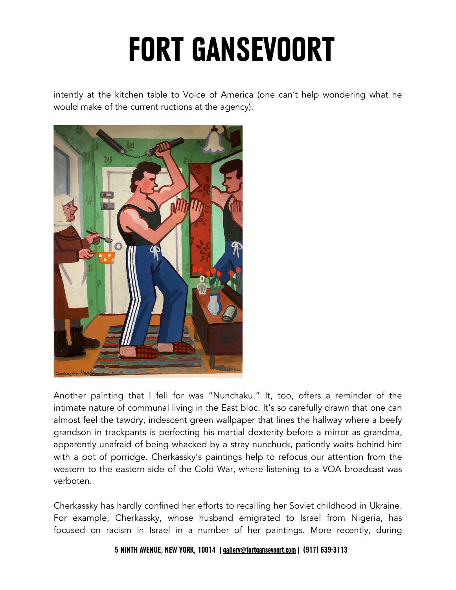intently at the kitchen table to Voice of America (one can't help wondering what he would make of the current ructions at the agency).



 Another painting that I fell for was "Nunchaku." It, too, offers a reminder of the intimate nature of communal living in the East bloc. It's so carefully drawn that one can almost feel the tawdry, iridescent green wallpaper that lines the hallway where a beefy grandson in trackpants is perfecting his martial dexterity before a mirror as grandma, apparently unafraid of being whacked by a stray nunchuck, patiently waits behind him with a pot of porridge. Cherkassky's paintings help to refocus our attention from the western to the eastern side of the Cold War, where listening to a VOA broadcast was verboten.

 Cherkassky has hardly confined her efforts to recalling her Soviet childhood in Ukraine. For example, Cherkassky, whose husband emigrated to Israel from Nigeria, has focused on racism in Israel in a number of her paintings. More recently, during

#### **5 NINTH AVENUE, NEW YORK, 10014 |[gallery@fortgansevoort.com](mailto:gallery@fortgansevoort.com)| (917) 639-3113**